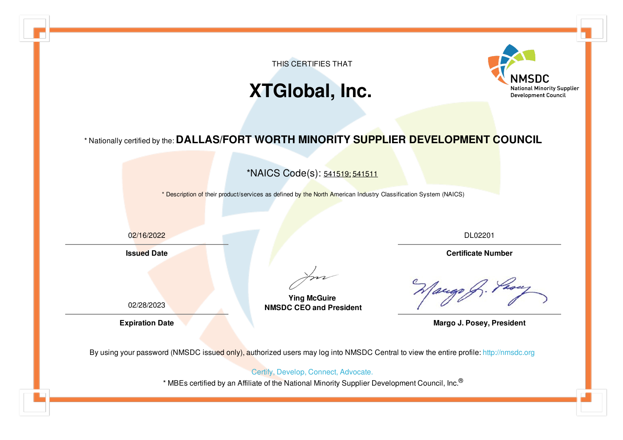

## **XTGlobal, Inc.**



## \* Nationally certified by the: **DALLAS/FORT WORTH MINORITY SUPPLIER DEVELOPMENT COUNCIL**

\*NAICS Code(s): 541519; 541511

\* Description of their product/services as defined by the North American Industry Classification System (NAICS)

02/16/2022

**Issued Date**

02/28/2023

DL02201

**Certificate Number**

**Ying McGuire NMSDC CEO and President**

**Expiration Date Margo J. Posey, President** 

By using your password (NMSDC issued only), authorized users may log into NMSDC Central to view the entire profile: <http://nmsdc.org>

Certify, Develop, Connect, Advocate.

\* MBEs certified by an Affiliate of the National Minority Supplier Development Council, Inc.®